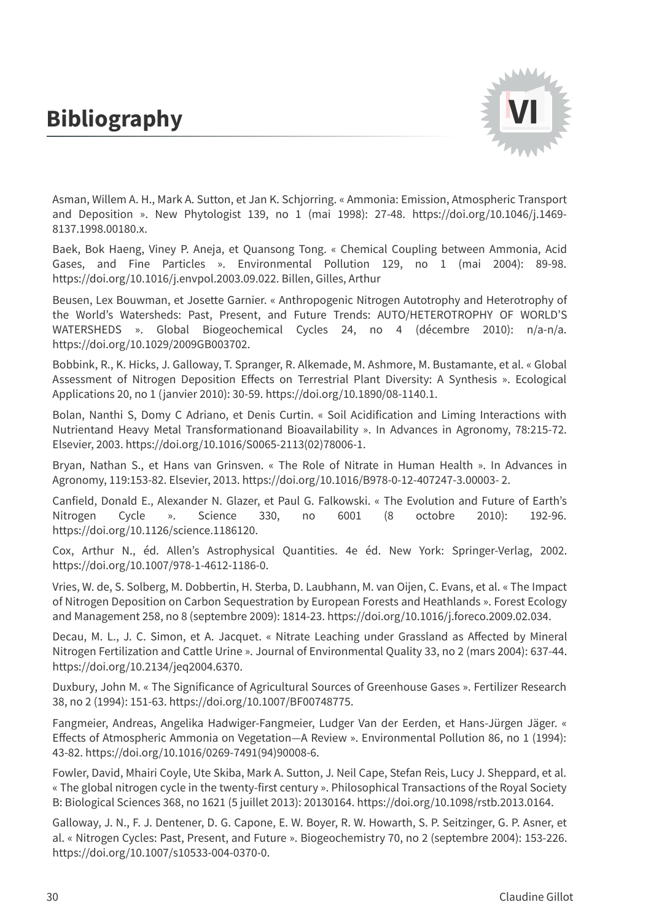## **Bibliography**



Asman, Willem A. H., Mark A. Sutton, et Jan K. Schjorring. « Ammonia: Emission, Atmospheric Transport and Deposition ». New Phytologist 139, no 1 (mai 1998): 27-48. https://doi.org/10.1046/j.1469- 8137.1998.00180.x.

Baek, Bok Haeng, Viney P. Aneja, et Quansong Tong. « Chemical Coupling between Ammonia, Acid Gases, and Fine Particles ». Environmental Pollution 129, no 1 (mai 2004): 89-98. https://doi.org/10.1016/j.envpol.2003.09.022. Billen, Gilles, Arthur

Beusen, Lex Bouwman, et Josette Garnier. « Anthropogenic Nitrogen Autotrophy and Heterotrophy of the World's Watersheds: Past, Present, and Future Trends: AUTO/HETEROTROPHY OF WORLD'S WATERSHEDS ». Global Biogeochemical Cycles 24, no 4 (décembre 2010): n/a-n/a. https://doi.org/10.1029/2009GB003702.

Bobbink, R., K. Hicks, J. Galloway, T. Spranger, R. Alkemade, M. Ashmore, M. Bustamante, et al. « Global Assessment of Nitrogen Deposition Effects on Terrestrial Plant Diversity: A Synthesis ». Ecological Applications 20, no 1 (janvier 2010): 30-59. https://doi.org/10.1890/08-1140.1.

Bolan, Nanthi S, Domy C Adriano, et Denis Curtin. « Soil Acidification and Liming Interactions with Nutrientand Heavy Metal Transformationand Bioavailability ». In Advances in Agronomy, 78:215-72. Elsevier, 2003. https://doi.org/10.1016/S0065-2113(02)78006-1.

Bryan, Nathan S., et Hans van Grinsven. « The Role of Nitrate in Human Health ». In Advances in Agronomy, 119:153-82. Elsevier, 2013. https://doi.org/10.1016/B978-0-12-407247-3.00003- 2.

Canfield, Donald E., Alexander N. Glazer, et Paul G. Falkowski. « The Evolution and Future of Earth's Nitrogen Cycle ». Science 330, no 6001 (8 octobre 2010): 192-96. https://doi.org/10.1126/science.1186120.

Cox, Arthur N., éd. Allen's Astrophysical Quantities. 4e éd. New York: Springer-Verlag, 2002. https://doi.org/10.1007/978-1-4612-1186-0.

Vries, W. de, S. Solberg, M. Dobbertin, H. Sterba, D. Laubhann, M. van Oijen, C. Evans, et al. « The Impact of Nitrogen Deposition on Carbon Sequestration by European Forests and Heathlands ». Forest Ecology and Management 258, no 8 (septembre 2009): 1814-23. https://doi.org/10.1016/j.foreco.2009.02.034.

Decau, M. L., J. C. Simon, et A. Jacquet. « Nitrate Leaching under Grassland as Affected by Mineral Nitrogen Fertilization and Cattle Urine ». Journal of Environmental Quality 33, no 2 (mars 2004): 637-44. https://doi.org/10.2134/jeq2004.6370.

Duxbury, John M. « The Significance of Agricultural Sources of Greenhouse Gases ». Fertilizer Research 38, no 2 (1994): 151-63. https://doi.org/10.1007/BF00748775.

Fangmeier, Andreas, Angelika Hadwiger-Fangmeier, Ludger Van der Eerden, et Hans-Jürgen Jäger. « Effects of Atmospheric Ammonia on Vegetation—A Review ». Environmental Pollution 86, no 1 (1994): 43-82. https://doi.org/10.1016/0269-7491(94)90008-6.

Fowler, David, Mhairi Coyle, Ute Skiba, Mark A. Sutton, J. Neil Cape, Stefan Reis, Lucy J. Sheppard, et al. « The global nitrogen cycle in the twenty-first century ». Philosophical Transactions of the Royal Society B: Biological Sciences 368, no 1621 (5 juillet 2013): 20130164. https://doi.org/10.1098/rstb.2013.0164.

Galloway, J. N., F. J. Dentener, D. G. Capone, E. W. Boyer, R. W. Howarth, S. P. Seitzinger, G. P. Asner, et al. « Nitrogen Cycles: Past, Present, and Future ». Biogeochemistry 70, no 2 (septembre 2004): 153-226. https://doi.org/10.1007/s10533-004-0370-0.